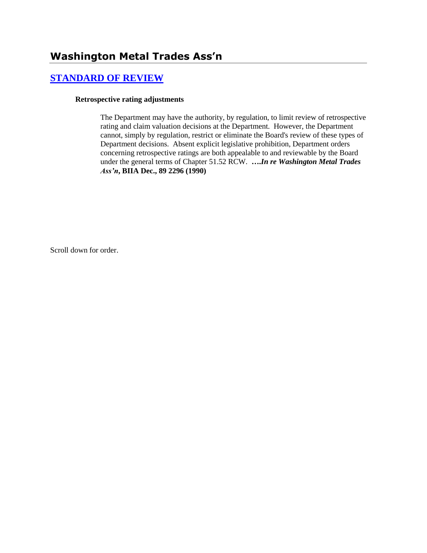# **[STANDARD OF REVIEW](http://www.biia.wa.gov/SDSubjectIndex.html#STANDARD_OF_REVIEW)**

#### **Retrospective rating adjustments**

The Department may have the authority, by regulation, to limit review of retrospective rating and claim valuation decisions at the Department. However, the Department cannot, simply by regulation, restrict or eliminate the Board's review of these types of Department decisions. Absent explicit legislative prohibition, Department orders concerning retrospective ratings are both appealable to and reviewable by the Board under the general terms of Chapter 51.52 RCW. **….***In re Washington Metal Trades Ass'n***, BIIA Dec., 89 2296 (1990)**

Scroll down for order.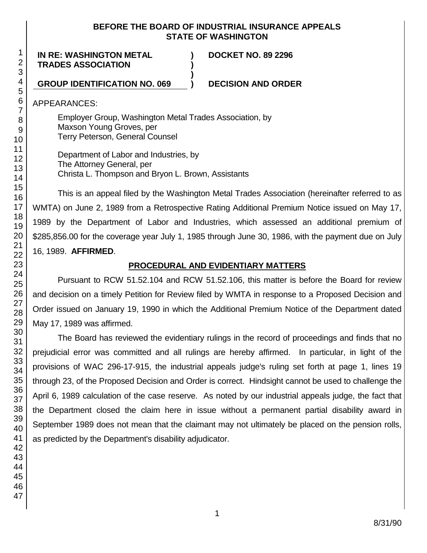### **BEFORE THE BOARD OF INDUSTRIAL INSURANCE APPEALS STATE OF WASHINGTON**

**) )**

**)**

**IN RE: WASHINGTON METAL TRADES ASSOCIATION**

**DOCKET NO. 89 2296**

### **GROUP IDENTIFICATION NO. 069 ) DECISION AND ORDER**

APPEARANCES:

Employer Group, Washington Metal Trades Association, by Maxson Young Groves, per Terry Peterson, General Counsel

Department of Labor and Industries, by The Attorney General, per Christa L. Thompson and Bryon L. Brown, Assistants

This is an appeal filed by the Washington Metal Trades Association (hereinafter referred to as WMTA) on June 2, 1989 from a Retrospective Rating Additional Premium Notice issued on May 17, 1989 by the Department of Labor and Industries, which assessed an additional premium of \$285,856.00 for the coverage year July 1, 1985 through June 30, 1986, with the payment due on July 16, 1989. **AFFIRMED**.

### **PROCEDURAL AND EVIDENTIARY MATTERS**

Pursuant to RCW 51.52.104 and RCW 51.52.106, this matter is before the Board for review and decision on a timely Petition for Review filed by WMTA in response to a Proposed Decision and Order issued on January 19, 1990 in which the Additional Premium Notice of the Department dated May 17, 1989 was affirmed.

The Board has reviewed the evidentiary rulings in the record of proceedings and finds that no prejudicial error was committed and all rulings are hereby affirmed. In particular, in light of the provisions of WAC 296-17-915, the industrial appeals judge's ruling set forth at page 1, lines 19 through 23, of the Proposed Decision and Order is correct. Hindsight cannot be used to challenge the April 6, 1989 calculation of the case reserve. As noted by our industrial appeals judge, the fact that the Department closed the claim here in issue without a permanent partial disability award in September 1989 does not mean that the claimant may not ultimately be placed on the pension rolls, as predicted by the Department's disability adjudicator.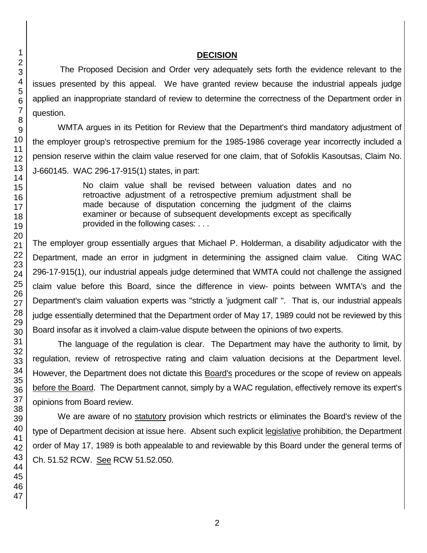### **DECISION**

The Proposed Decision and Order very adequately sets forth the evidence relevant to the issues presented by this appeal. We have granted review because the industrial appeals judge applied an inappropriate standard of review to determine the correctness of the Department order in question.

WMTA argues in its Petition for Review that the Department's third mandatory adjustment of the employer group's retrospective premium for the 1985-1986 coverage year incorrectly included a pension reserve within the claim value reserved for one claim, that of Sofoklis Kasoutsas, Claim No. J-660145. WAC 296-17-915(1) states, in part:

> No claim value shall be revised between valuation dates and no retroactive adjustment of a retrospective premium adjustment shall be made because of disputation concerning the judgment of the claims examiner or because of subsequent developments except as specifically provided in the following cases: . . .

The employer group essentially argues that Michael P. Holderman, a disability adjudicator with the Department, made an error in judgment in determining the assigned claim value. Citing WAC 296-17-915(1), our industrial appeals judge determined that WMTA could not challenge the assigned claim value before this Board, since the difference in view- points between WMTA's and the Department's claim valuation experts was "strictly a 'judgment call' ". That is, our industrial appeals judge essentially determined that the Department order of May 17, 1989 could not be reviewed by this Board insofar as it involved a claim-value dispute between the opinions of two experts.

The language of the regulation is clear. The Department may have the authority to limit, by regulation, review of retrospective rating and claim valuation decisions at the Department level. However, the Department does not dictate this Board's procedures or the scope of review on appeals before the Board. The Department cannot, simply by a WAC regulation, effectively remove its expert's opinions from Board review.

We are aware of no statutory provision which restricts or eliminates the Board's review of the type of Department decision at issue here. Absent such explicit legislative prohibition, the Department order of May 17, 1989 is both appealable to and reviewable by this Board under the general terms of Ch. 51.52 RCW. See RCW 51.52.050.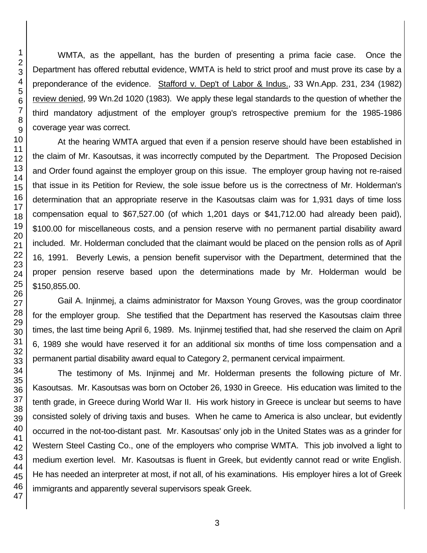WMTA, as the appellant, has the burden of presenting a prima facie case. Once the Department has offered rebuttal evidence, WMTA is held to strict proof and must prove its case by a preponderance of the evidence. Stafford v. Dep't of Labor & Indus., 33 Wn.App. 231, 234 (1982) review denied, 99 Wn.2d 1020 (1983). We apply these legal standards to the question of whether the third mandatory adjustment of the employer group's retrospective premium for the 1985-1986 coverage year was correct.

At the hearing WMTA argued that even if a pension reserve should have been established in the claim of Mr. Kasoutsas, it was incorrectly computed by the Department. The Proposed Decision and Order found against the employer group on this issue. The employer group having not re-raised that issue in its Petition for Review, the sole issue before us is the correctness of Mr. Holderman's determination that an appropriate reserve in the Kasoutsas claim was for 1,931 days of time loss compensation equal to \$67,527.00 (of which 1,201 days or \$41,712.00 had already been paid), \$100.00 for miscellaneous costs, and a pension reserve with no permanent partial disability award included. Mr. Holderman concluded that the claimant would be placed on the pension rolls as of April 16, 1991. Beverly Lewis, a pension benefit supervisor with the Department, determined that the proper pension reserve based upon the determinations made by Mr. Holderman would be \$150,855.00.

Gail A. Injinmej, a claims administrator for Maxson Young Groves, was the group coordinator for the employer group. She testified that the Department has reserved the Kasoutsas claim three times, the last time being April 6, 1989. Ms. Injinmej testified that, had she reserved the claim on April 6, 1989 she would have reserved it for an additional six months of time loss compensation and a permanent partial disability award equal to Category 2, permanent cervical impairment.

The testimony of Ms. Injinmej and Mr. Holderman presents the following picture of Mr. Kasoutsas. Mr. Kasoutsas was born on October 26, 1930 in Greece. His education was limited to the tenth grade, in Greece during World War II. His work history in Greece is unclear but seems to have consisted solely of driving taxis and buses. When he came to America is also unclear, but evidently occurred in the not-too-distant past. Mr. Kasoutsas' only job in the United States was as a grinder for Western Steel Casting Co., one of the employers who comprise WMTA. This job involved a light to medium exertion level. Mr. Kasoutsas is fluent in Greek, but evidently cannot read or write English. He has needed an interpreter at most, if not all, of his examinations. His employer hires a lot of Greek immigrants and apparently several supervisors speak Greek.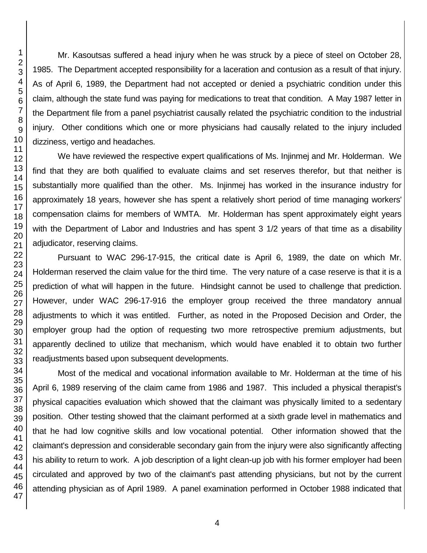Mr. Kasoutsas suffered a head injury when he was struck by a piece of steel on October 28, 1985. The Department accepted responsibility for a laceration and contusion as a result of that injury. As of April 6, 1989, the Department had not accepted or denied a psychiatric condition under this claim, although the state fund was paying for medications to treat that condition. A May 1987 letter in the Department file from a panel psychiatrist causally related the psychiatric condition to the industrial injury. Other conditions which one or more physicians had causally related to the injury included dizziness, vertigo and headaches.

We have reviewed the respective expert qualifications of Ms. Injinmej and Mr. Holderman. We find that they are both qualified to evaluate claims and set reserves therefor, but that neither is substantially more qualified than the other. Ms. Injinmej has worked in the insurance industry for approximately 18 years, however she has spent a relatively short period of time managing workers' compensation claims for members of WMTA. Mr. Holderman has spent approximately eight years with the Department of Labor and Industries and has spent 3 1/2 years of that time as a disability adjudicator, reserving claims.

Pursuant to WAC 296-17-915, the critical date is April 6, 1989, the date on which Mr. Holderman reserved the claim value for the third time. The very nature of a case reserve is that it is a prediction of what will happen in the future. Hindsight cannot be used to challenge that prediction. However, under WAC 296-17-916 the employer group received the three mandatory annual adjustments to which it was entitled. Further, as noted in the Proposed Decision and Order, the employer group had the option of requesting two more retrospective premium adjustments, but apparently declined to utilize that mechanism, which would have enabled it to obtain two further readjustments based upon subsequent developments.

Most of the medical and vocational information available to Mr. Holderman at the time of his April 6, 1989 reserving of the claim came from 1986 and 1987. This included a physical therapist's physical capacities evaluation which showed that the claimant was physically limited to a sedentary position. Other testing showed that the claimant performed at a sixth grade level in mathematics and that he had low cognitive skills and low vocational potential. Other information showed that the claimant's depression and considerable secondary gain from the injury were also significantly affecting his ability to return to work. A job description of a light clean-up job with his former employer had been circulated and approved by two of the claimant's past attending physicians, but not by the current attending physician as of April 1989. A panel examination performed in October 1988 indicated that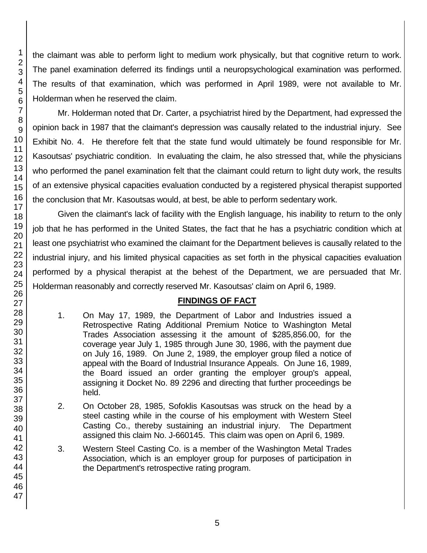the claimant was able to perform light to medium work physically, but that cognitive return to work. The panel examination deferred its findings until a neuropsychological examination was performed. The results of that examination, which was performed in April 1989, were not available to Mr. Holderman when he reserved the claim.

Mr. Holderman noted that Dr. Carter, a psychiatrist hired by the Department, had expressed the opinion back in 1987 that the claimant's depression was causally related to the industrial injury. See Exhibit No. 4. He therefore felt that the state fund would ultimately be found responsible for Mr. Kasoutsas' psychiatric condition. In evaluating the claim, he also stressed that, while the physicians who performed the panel examination felt that the claimant could return to light duty work, the results of an extensive physical capacities evaluation conducted by a registered physical therapist supported the conclusion that Mr. Kasoutsas would, at best, be able to perform sedentary work.

Given the claimant's lack of facility with the English language, his inability to return to the only job that he has performed in the United States, the fact that he has a psychiatric condition which at least one psychiatrist who examined the claimant for the Department believes is causally related to the industrial injury, and his limited physical capacities as set forth in the physical capacities evaluation performed by a physical therapist at the behest of the Department, we are persuaded that Mr. Holderman reasonably and correctly reserved Mr. Kasoutsas' claim on April 6, 1989.

## **FINDINGS OF FACT**

- 1. On May 17, 1989, the Department of Labor and Industries issued a Retrospective Rating Additional Premium Notice to Washington Metal Trades Association assessing it the amount of \$285,856.00, for the coverage year July 1, 1985 through June 30, 1986, with the payment due on July 16, 1989. On June 2, 1989, the employer group filed a notice of appeal with the Board of Industrial Insurance Appeals. On June 16, 1989, the Board issued an order granting the employer group's appeal, assigning it Docket No. 89 2296 and directing that further proceedings be held.
- 2. On October 28, 1985, Sofoklis Kasoutsas was struck on the head by a steel casting while in the course of his employment with Western Steel Casting Co., thereby sustaining an industrial injury. The Department assigned this claim No. J-660145. This claim was open on April 6, 1989.
- 3. Western Steel Casting Co. is a member of the Washington Metal Trades Association, which is an employer group for purposes of participation in the Department's retrospective rating program.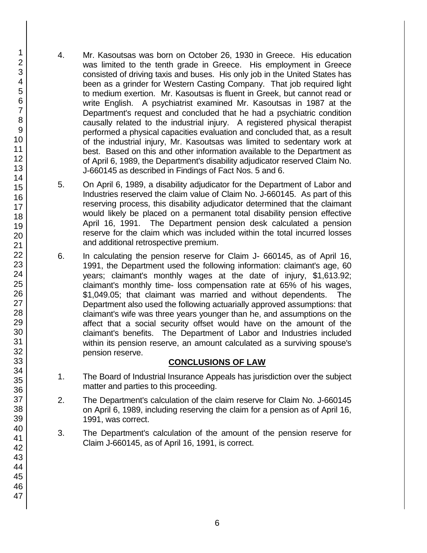- 4. Mr. Kasoutsas was born on October 26, 1930 in Greece. His education was limited to the tenth grade in Greece. His employment in Greece consisted of driving taxis and buses. His only job in the United States has been as a grinder for Western Casting Company. That job required light to medium exertion. Mr. Kasoutsas is fluent in Greek, but cannot read or write English. A psychiatrist examined Mr. Kasoutsas in 1987 at the Department's request and concluded that he had a psychiatric condition causally related to the industrial injury. A registered physical therapist performed a physical capacities evaluation and concluded that, as a result of the industrial injury, Mr. Kasoutsas was limited to sedentary work at best. Based on this and other information available to the Department as of April 6, 1989, the Department's disability adjudicator reserved Claim No. J-660145 as described in Findings of Fact Nos. 5 and 6.
- 5. On April 6, 1989, a disability adjudicator for the Department of Labor and Industries reserved the claim value of Claim No. J-660145. As part of this reserving process, this disability adjudicator determined that the claimant would likely be placed on a permanent total disability pension effective April 16, 1991. The Department pension desk calculated a pension reserve for the claim which was included within the total incurred losses and additional retrospective premium.
- 6. In calculating the pension reserve for Claim J- 660145, as of April 16, 1991, the Department used the following information: claimant's age, 60 years; claimant's monthly wages at the date of injury, \$1,613.92; claimant's monthly time- loss compensation rate at 65% of his wages, \$1,049.05; that claimant was married and without dependents. The Department also used the following actuarially approved assumptions: that claimant's wife was three years younger than he, and assumptions on the affect that a social security offset would have on the amount of the claimant's benefits. The Department of Labor and Industries included within its pension reserve, an amount calculated as a surviving spouse's pension reserve.

## **CONCLUSIONS OF LAW**

- 1. The Board of Industrial Insurance Appeals has jurisdiction over the subject matter and parties to this proceeding.
- 2. The Department's calculation of the claim reserve for Claim No. J-660145 on April 6, 1989, including reserving the claim for a pension as of April 16, 1991, was correct.
- 3. The Department's calculation of the amount of the pension reserve for Claim J-660145, as of April 16, 1991, is correct.

1